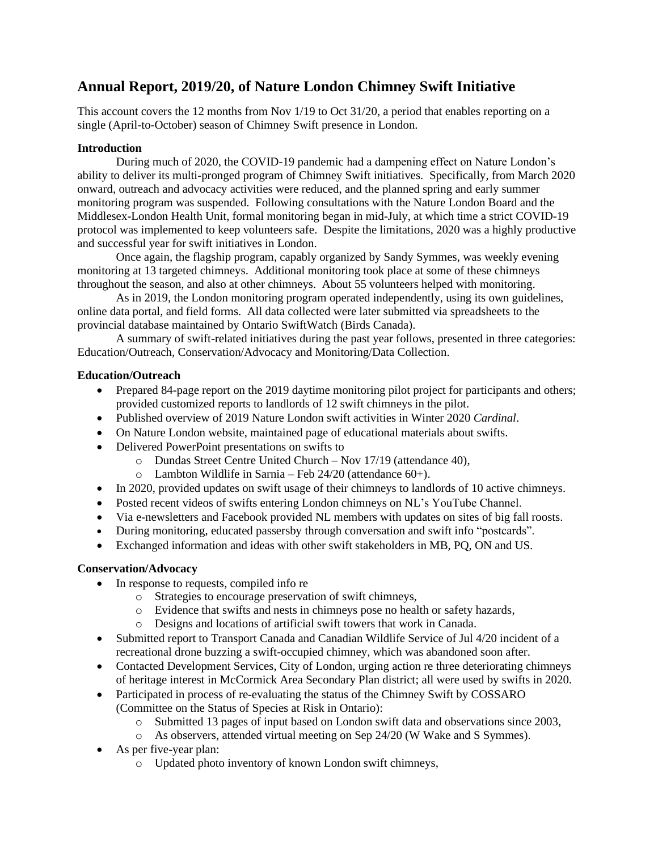# **Annual Report, 2019/20, of Nature London Chimney Swift Initiative**

This account covers the 12 months from Nov 1/19 to Oct 31/20, a period that enables reporting on a single (April-to-October) season of Chimney Swift presence in London.

#### **Introduction**

During much of 2020, the COVID-19 pandemic had a dampening effect on Nature London's ability to deliver its multi-pronged program of Chimney Swift initiatives. Specifically, from March 2020 onward, outreach and advocacy activities were reduced, and the planned spring and early summer monitoring program was suspended. Following consultations with the Nature London Board and the Middlesex-London Health Unit, formal monitoring began in mid-July, at which time a strict COVID-19 protocol was implemented to keep volunteers safe. Despite the limitations, 2020 was a highly productive and successful year for swift initiatives in London.

Once again, the flagship program, capably organized by Sandy Symmes, was weekly evening monitoring at 13 targeted chimneys. Additional monitoring took place at some of these chimneys throughout the season, and also at other chimneys. About 55 volunteers helped with monitoring.

As in 2019, the London monitoring program operated independently, using its own guidelines, online data portal, and field forms. All data collected were later submitted via spreadsheets to the provincial database maintained by Ontario SwiftWatch (Birds Canada).

A summary of swift-related initiatives during the past year follows, presented in three categories: Education/Outreach, Conservation/Advocacy and Monitoring/Data Collection.

#### **Education/Outreach**

- Prepared 84-page report on the 2019 daytime monitoring pilot project for participants and others; provided customized reports to landlords of 12 swift chimneys in the pilot.
- Published overview of 2019 Nature London swift activities in Winter 2020 *Cardinal*.
- On Nature London website, maintained page of educational materials about swifts.
- Delivered PowerPoint presentations on swifts to
	- o Dundas Street Centre United Church Nov 17/19 (attendance 40),
	- $\circ$  Lambton Wildlife in Sarnia Feb 24/20 (attendance 60+).
- In 2020, provided updates on swift usage of their chimneys to landlords of 10 active chimneys.
- Posted recent videos of swifts entering London chimneys on NL's YouTube Channel.
- Via e-newsletters and Facebook provided NL members with updates on sites of big fall roosts.
- During monitoring, educated passersby through conversation and swift info "postcards".
- Exchanged information and ideas with other swift stakeholders in MB, PQ, ON and US.

#### **Conservation/Advocacy**

- In response to requests, compiled info re
	- o Strategies to encourage preservation of swift chimneys,
	- o Evidence that swifts and nests in chimneys pose no health or safety hazards,
	- o Designs and locations of artificial swift towers that work in Canada.
- Submitted report to Transport Canada and Canadian Wildlife Service of Jul 4/20 incident of a recreational drone buzzing a swift-occupied chimney, which was abandoned soon after.
- Contacted Development Services, City of London, urging action re three deteriorating chimneys of heritage interest in McCormick Area Secondary Plan district; all were used by swifts in 2020.
- Participated in process of re-evaluating the status of the Chimney Swift by COSSARO (Committee on the Status of Species at Risk in Ontario):
	- o Submitted 13 pages of input based on London swift data and observations since 2003,
	- o As observers, attended virtual meeting on Sep 24/20 (W Wake and S Symmes).
- As per five-year plan:
	- o Updated photo inventory of known London swift chimneys,